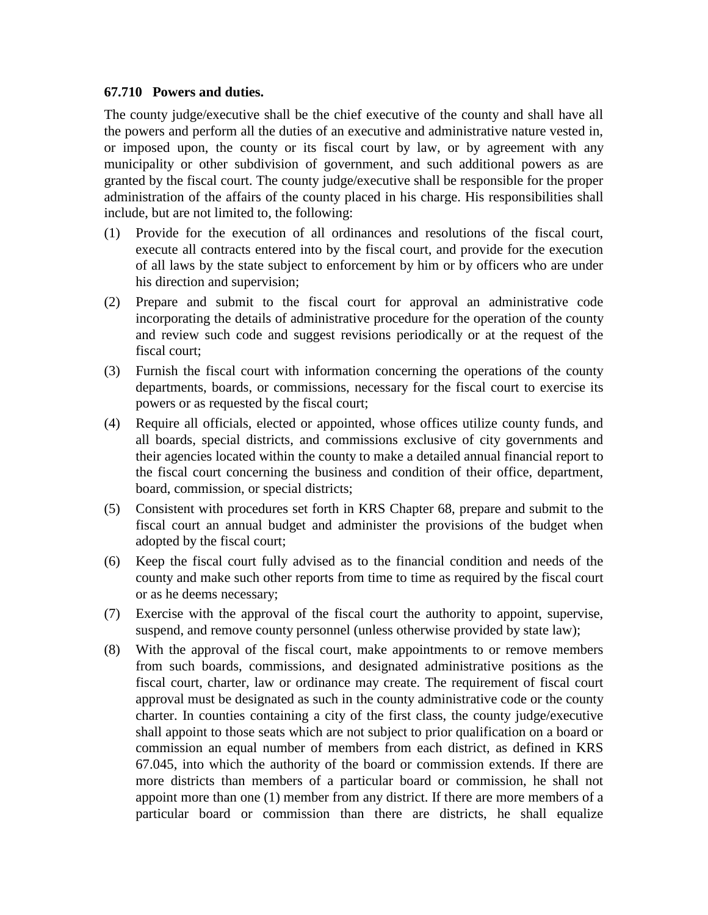## **67.710 Powers and duties.**

The county judge/executive shall be the chief executive of the county and shall have all the powers and perform all the duties of an executive and administrative nature vested in, or imposed upon, the county or its fiscal court by law, or by agreement with any municipality or other subdivision of government, and such additional powers as are granted by the fiscal court. The county judge/executive shall be responsible for the proper administration of the affairs of the county placed in his charge. His responsibilities shall include, but are not limited to, the following:

- (1) Provide for the execution of all ordinances and resolutions of the fiscal court, execute all contracts entered into by the fiscal court, and provide for the execution of all laws by the state subject to enforcement by him or by officers who are under his direction and supervision;
- (2) Prepare and submit to the fiscal court for approval an administrative code incorporating the details of administrative procedure for the operation of the county and review such code and suggest revisions periodically or at the request of the fiscal court;
- (3) Furnish the fiscal court with information concerning the operations of the county departments, boards, or commissions, necessary for the fiscal court to exercise its powers or as requested by the fiscal court;
- (4) Require all officials, elected or appointed, whose offices utilize county funds, and all boards, special districts, and commissions exclusive of city governments and their agencies located within the county to make a detailed annual financial report to the fiscal court concerning the business and condition of their office, department, board, commission, or special districts;
- (5) Consistent with procedures set forth in KRS Chapter 68, prepare and submit to the fiscal court an annual budget and administer the provisions of the budget when adopted by the fiscal court;
- (6) Keep the fiscal court fully advised as to the financial condition and needs of the county and make such other reports from time to time as required by the fiscal court or as he deems necessary;
- (7) Exercise with the approval of the fiscal court the authority to appoint, supervise, suspend, and remove county personnel (unless otherwise provided by state law);
- (8) With the approval of the fiscal court, make appointments to or remove members from such boards, commissions, and designated administrative positions as the fiscal court, charter, law or ordinance may create. The requirement of fiscal court approval must be designated as such in the county administrative code or the county charter. In counties containing a city of the first class, the county judge/executive shall appoint to those seats which are not subject to prior qualification on a board or commission an equal number of members from each district, as defined in KRS 67.045, into which the authority of the board or commission extends. If there are more districts than members of a particular board or commission, he shall not appoint more than one (1) member from any district. If there are more members of a particular board or commission than there are districts, he shall equalize